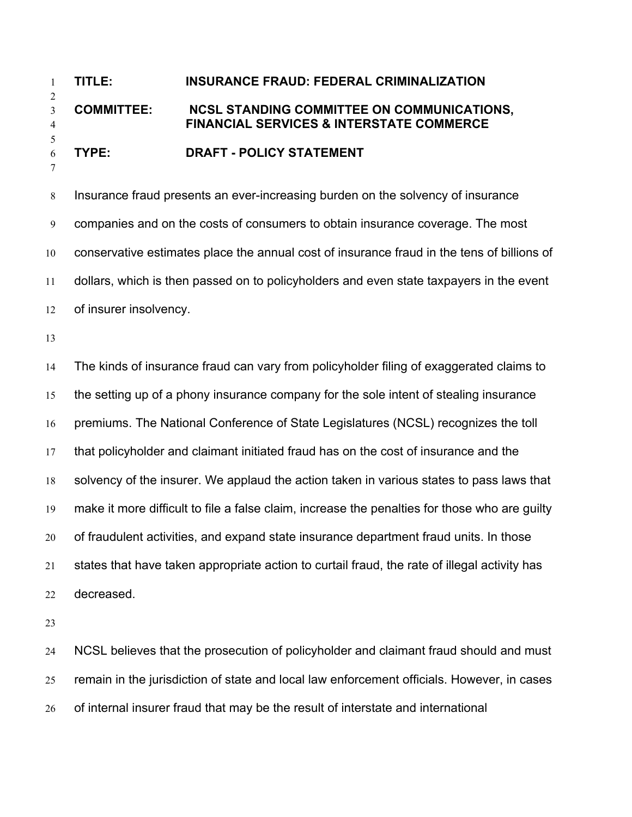## **TITLE: INSURANCE FRAUD: FEDERAL CRIMINALIZATION COMMITTEE: NCSL STANDING COMMITTEE ON COMMUNICATIONS, FINANCIAL SERVICES & INTERSTATE COMMERCE TYPE: DRAFT - POLICY STATEMENT**

Insurance fraud presents an ever-increasing burden on the solvency of insurance companies and on the costs of consumers to obtain insurance coverage. The most conservative estimates place the annual cost of insurance fraud in the tens of billions of dollars, which is then passed on to policyholders and even state taxpayers in the event of insurer insolvency.

The kinds of insurance fraud can vary from policyholder filing of exaggerated claims to the setting up of a phony insurance company for the sole intent of stealing insurance premiums. The National Conference of State Legislatures (NCSL) recognizes the toll that policyholder and claimant initiated fraud has on the cost of insurance and the solvency of the insurer. We applaud the action taken in various states to pass laws that make it more difficult to file a false claim, increase the penalties for those who are guilty of fraudulent activities, and expand state insurance department fraud units. In those states that have taken appropriate action to curtail fraud, the rate of illegal activity has decreased.

NCSL believes that the prosecution of policyholder and claimant fraud should and must remain in the jurisdiction of state and local law enforcement officials. However, in cases of internal insurer fraud that may be the result of interstate and international